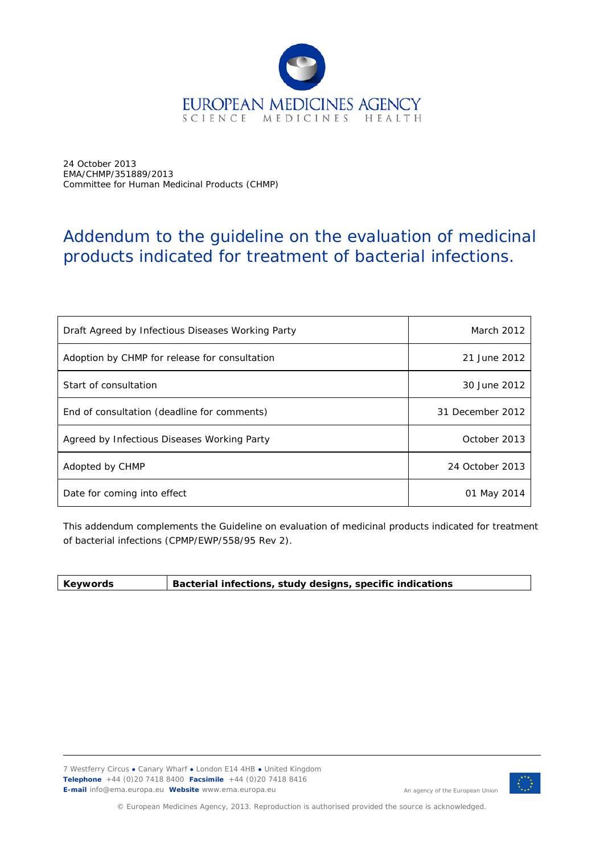

24 October 2013 EMA/CHMP/351889/2013 Committee for Human Medicinal Products (CHMP)

# Addendum to the guideline on the evaluation of medicinal products indicated for treatment of bacterial infections.

| Draft Agreed by Infectious Diseases Working Party | March 2012       |
|---------------------------------------------------|------------------|
| Adoption by CHMP for release for consultation     | 21 June 2012     |
| Start of consultation                             | 30 June 2012     |
| End of consultation (deadline for comments)       | 31 December 2012 |
| Agreed by Infectious Diseases Working Party       | October 2013     |
| Adopted by CHMP                                   | 24 October 2013  |
| Date for coming into effect                       | 01 May 2014      |

This addendum complements the Guideline on evaluation of medicinal products indicated for treatment of bacterial infections (CPMP/EWP/558/95 Rev 2).

| Keywords | Bacterial infections, study designs, specific indications |
|----------|-----------------------------------------------------------|
|          |                                                           |

7 Westferry Circus **●** Canary Wharf **●** London E14 4HB **●** United Kingdom **Telephone** +44 (0)20 7418 8400 **Facsimile** +44 (0)20 7418 8416 **E-mail** info@ema.europa.eu **Website** www.ema.europa.eu



An agency of the European Union

© European Medicines Agency, 2013. Reproduction is authorised provided the source is acknowledged.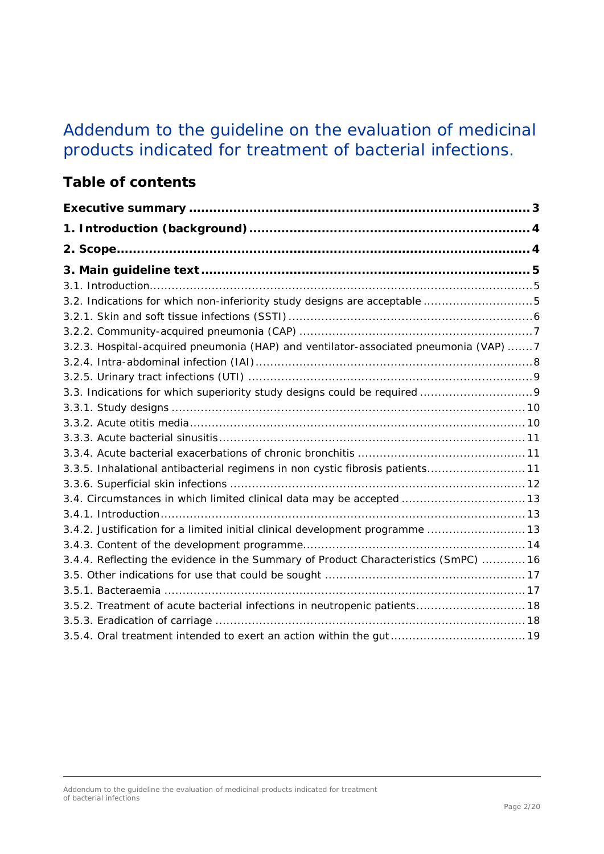# Addendum to the guideline on the evaluation of medicinal products indicated for treatment of bacterial infections.

# **Table of contents**

| 3.2. Indications for which non-inferiority study designs are acceptable 5            |  |
|--------------------------------------------------------------------------------------|--|
|                                                                                      |  |
|                                                                                      |  |
| 3.2.3. Hospital-acquired pneumonia (HAP) and ventilator-associated pneumonia (VAP) 7 |  |
|                                                                                      |  |
|                                                                                      |  |
|                                                                                      |  |
|                                                                                      |  |
|                                                                                      |  |
|                                                                                      |  |
|                                                                                      |  |
| 3.3.5. Inhalational antibacterial regimens in non cystic fibrosis patients 11        |  |
|                                                                                      |  |
| 3.4. Circumstances in which limited clinical data may be accepted  13                |  |
|                                                                                      |  |
| 3.4.2. Justification for a limited initial clinical development programme  13        |  |
|                                                                                      |  |
| 3.4.4. Reflecting the evidence in the Summary of Product Characteristics (SmPC)  16  |  |
|                                                                                      |  |
|                                                                                      |  |
| 3.5.2. Treatment of acute bacterial infections in neutropenic patients 18            |  |
|                                                                                      |  |
|                                                                                      |  |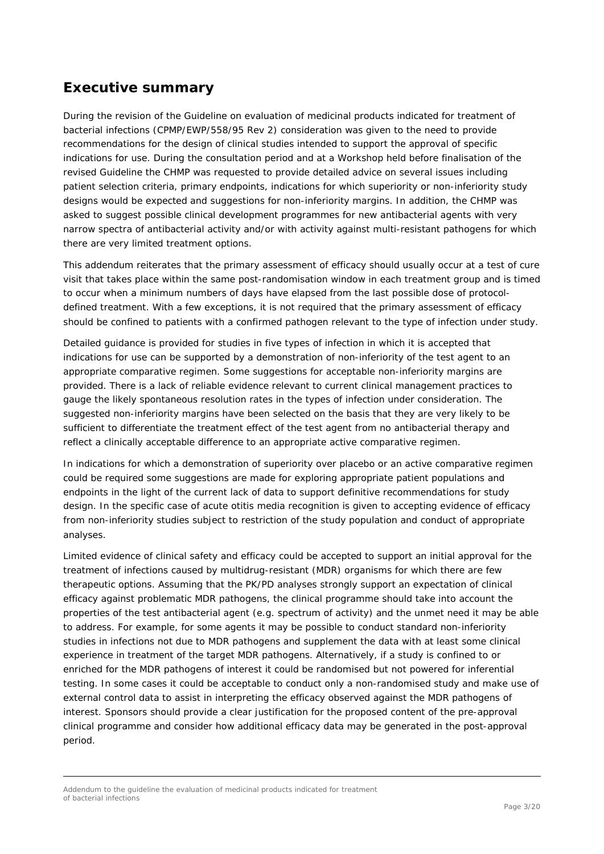## <span id="page-2-0"></span>**Executive summary**

During the revision of the *Guideline on evaluation of medicinal products indicated for treatment of bacterial infections* (CPMP/EWP/558/95 Rev 2) consideration was given to the need to provide recommendations for the design of clinical studies intended to support the approval of specific indications for use. During the consultation period and at a Workshop held before finalisation of the revised Guideline the CHMP was requested to provide detailed advice on several issues including patient selection criteria, primary endpoints, indications for which superiority or non-inferiority study designs would be expected and suggestions for non-inferiority margins. In addition, the CHMP was asked to suggest possible clinical development programmes for new antibacterial agents with very narrow spectra of antibacterial activity and/or with activity against multi-resistant pathogens for which there are very limited treatment options.

This addendum reiterates that the primary assessment of efficacy should usually occur at a test of cure visit that takes place within the same post-randomisation window in each treatment group and is timed to occur when a minimum numbers of days have elapsed from the last possible dose of protocoldefined treatment. With a few exceptions, it is not required that the primary assessment of efficacy should be confined to patients with a confirmed pathogen relevant to the type of infection under study.

Detailed guidance is provided for studies in five types of infection in which it is accepted that indications for use can be supported by a demonstration of non-inferiority of the test agent to an appropriate comparative regimen. Some suggestions for acceptable non-inferiority margins are provided. There is a lack of reliable evidence relevant to current clinical management practices to gauge the likely spontaneous resolution rates in the types of infection under consideration. The suggested non-inferiority margins have been selected on the basis that they are very likely to be sufficient to differentiate the treatment effect of the test agent from no antibacterial therapy and reflect a clinically acceptable difference to an appropriate active comparative regimen.

In indications for which a demonstration of superiority over placebo or an active comparative regimen could be required some suggestions are made for exploring appropriate patient populations and endpoints in the light of the current lack of data to support definitive recommendations for study design. In the specific case of acute otitis media recognition is given to accepting evidence of efficacy from non-inferiority studies subject to restriction of the study population and conduct of appropriate analyses.

Limited evidence of clinical safety and efficacy could be accepted to support an initial approval for the treatment of infections caused by multidrug-resistant (MDR) organisms for which there are few therapeutic options. Assuming that the PK/PD analyses strongly support an expectation of clinical efficacy against problematic MDR pathogens, the clinical programme should take into account the properties of the test antibacterial agent (e.g. spectrum of activity) and the unmet need it may be able to address. For example, for some agents it may be possible to conduct standard non-inferiority studies in infections not due to MDR pathogens and supplement the data with at least some clinical experience in treatment of the target MDR pathogens. Alternatively, if a study is confined to or enriched for the MDR pathogens of interest it could be randomised but not powered for inferential testing. In some cases it could be acceptable to conduct only a non-randomised study and make use of external control data to assist in interpreting the efficacy observed against the MDR pathogens of interest. Sponsors should provide a clear justification for the proposed content of the pre-approval clinical programme and consider how additional efficacy data may be generated in the post-approval period.

Addendum to the guideline the evaluation of medicinal products indicated for treatment of bacterial infections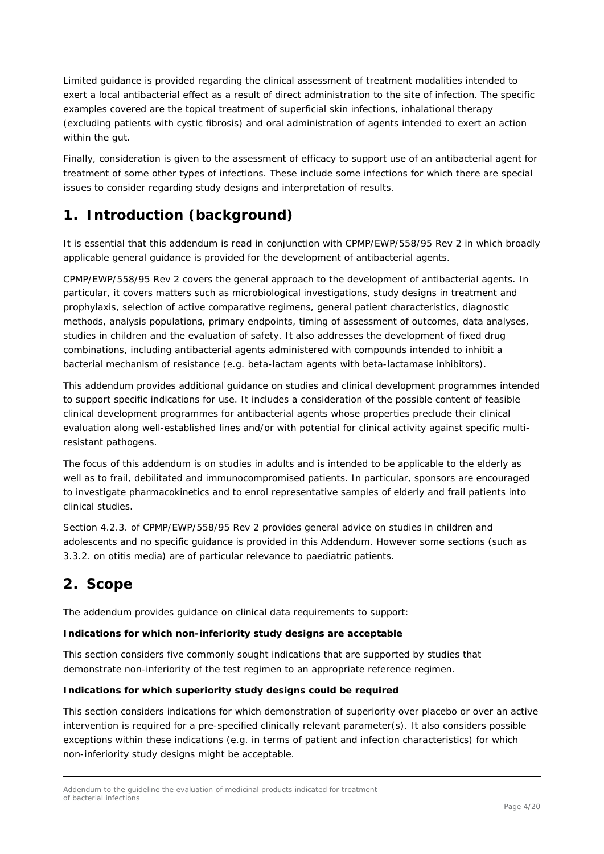Limited guidance is provided regarding the clinical assessment of treatment modalities intended to exert a local antibacterial effect as a result of direct administration to the site of infection. The specific examples covered are the topical treatment of superficial skin infections, inhalational therapy (excluding patients with cystic fibrosis) and oral administration of agents intended to exert an action within the gut.

Finally, consideration is given to the assessment of efficacy to support use of an antibacterial agent for treatment of some other types of infections. These include some infections for which there are special issues to consider regarding study designs and interpretation of results.

# <span id="page-3-0"></span>**1. Introduction (background)**

It is essential that this addendum is read in conjunction with CPMP/EWP/558/95 Rev 2 in which broadly applicable general guidance is provided for the development of antibacterial agents.

CPMP/EWP/558/95 Rev 2 covers the general approach to the development of antibacterial agents. In particular, it covers matters such as microbiological investigations, study designs in treatment and prophylaxis, selection of active comparative regimens, general patient characteristics, diagnostic methods, analysis populations, primary endpoints, timing of assessment of outcomes, data analyses, studies in children and the evaluation of safety. It also addresses the development of fixed drug combinations, including antibacterial agents administered with compounds intended to inhibit a bacterial mechanism of resistance (e.g. beta-lactam agents with beta-lactamase inhibitors).

This addendum provides additional guidance on studies and clinical development programmes intended to support specific indications for use. It includes a consideration of the possible content of feasible clinical development programmes for antibacterial agents whose properties preclude their clinical evaluation along well-established lines and/or with potential for clinical activity against specific multiresistant pathogens.

The focus of this addendum is on studies in adults and is intended to be applicable to the elderly as well as to frail, debilitated and immunocompromised patients. In particular, sponsors are encouraged to investigate pharmacokinetics and to enrol representative samples of elderly and frail patients into clinical studies.

Section 4.2.3. of CPMP/EWP/558/95 Rev 2 provides general advice on studies in children and adolescents and no specific guidance is provided in this Addendum. However some sections (such as 3.3.2. on otitis media) are of particular relevance to paediatric patients.

# <span id="page-3-1"></span>**2. Scope**

The addendum provides guidance on clinical data requirements to support:

#### *Indications for which non-inferiority study designs are acceptable*

This section considers five commonly sought indications that are supported by studies that demonstrate non-inferiority of the test regimen to an appropriate reference regimen.

#### *Indications for which superiority study designs could be required*

This section considers indications for which demonstration of superiority over placebo or over an active intervention is required for a pre-specified clinically relevant parameter(s). It also considers possible exceptions within these indications (e.g. in terms of patient and infection characteristics) for which non-inferiority study designs might be acceptable.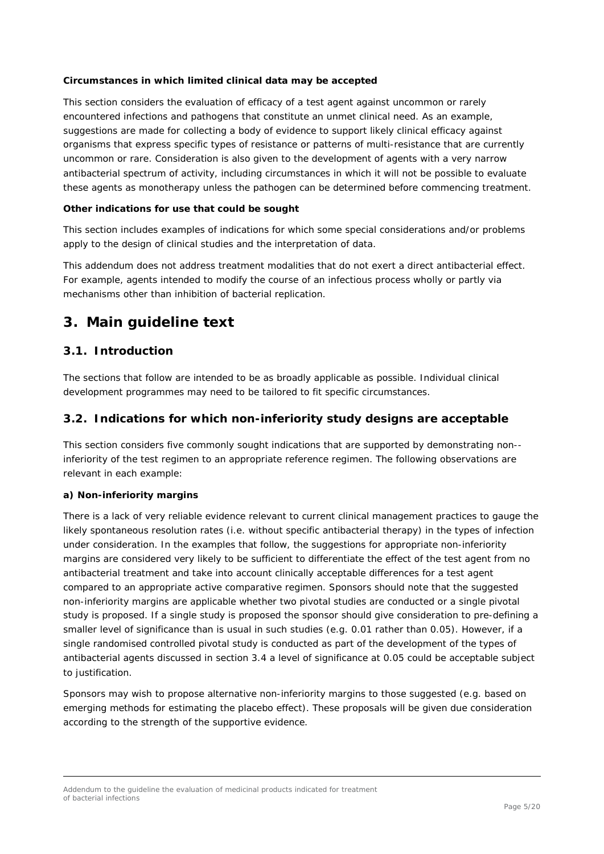#### *Circumstances in which limited clinical data may be accepted*

This section considers the evaluation of efficacy of a test agent against uncommon or rarely encountered infections and pathogens that constitute an unmet clinical need. As an example, suggestions are made for collecting a body of evidence to support likely clinical efficacy against organisms that express specific types of resistance or patterns of multi-resistance that are currently uncommon or rare. Consideration is also given to the development of agents with a very narrow antibacterial spectrum of activity, including circumstances in which it will not be possible to evaluate these agents as monotherapy unless the pathogen can be determined before commencing treatment.

#### *Other indications for use that could be sought*

This section includes examples of indications for which some special considerations and/or problems apply to the design of clinical studies and the interpretation of data.

This addendum does not address treatment modalities that do not exert a direct antibacterial effect. For example, agents intended to modify the course of an infectious process wholly or partly via mechanisms other than inhibition of bacterial replication.

### <span id="page-4-0"></span>**3. Main guideline text**

### <span id="page-4-1"></span>*3.1. Introduction*

The sections that follow are intended to be as broadly applicable as possible. Individual clinical development programmes may need to be tailored to fit specific circumstances.

#### <span id="page-4-2"></span>*3.2. Indications for which non-inferiority study designs are acceptable*

This section considers five commonly sought indications that are supported by demonstrating non- inferiority of the test regimen to an appropriate reference regimen. The following observations are relevant in each example:

#### *a) Non-inferiority margins*

There is a lack of very reliable evidence relevant to current clinical management practices to gauge the likely spontaneous resolution rates (i.e. without specific antibacterial therapy) in the types of infection under consideration. In the examples that follow, the suggestions for appropriate non-inferiority margins are considered very likely to be sufficient to differentiate the effect of the test agent from no antibacterial treatment and take into account clinically acceptable differences for a test agent compared to an appropriate active comparative regimen. Sponsors should note that the suggested non-inferiority margins are applicable whether two pivotal studies are conducted or a single pivotal study is proposed. If a single study is proposed the sponsor should give consideration to pre-defining a smaller level of significance than is usual in such studies (e.g. 0.01 rather than 0.05). However, if a single randomised controlled pivotal study is conducted as part of the development of the types of antibacterial agents discussed in section 3.4 a level of significance at 0.05 could be acceptable subject to justification.

Sponsors may wish to propose alternative non-inferiority margins to those suggested (e.g. based on emerging methods for estimating the placebo effect). These proposals will be given due consideration according to the strength of the supportive evidence.

Addendum to the guideline the evaluation of medicinal products indicated for treatment of bacterial infections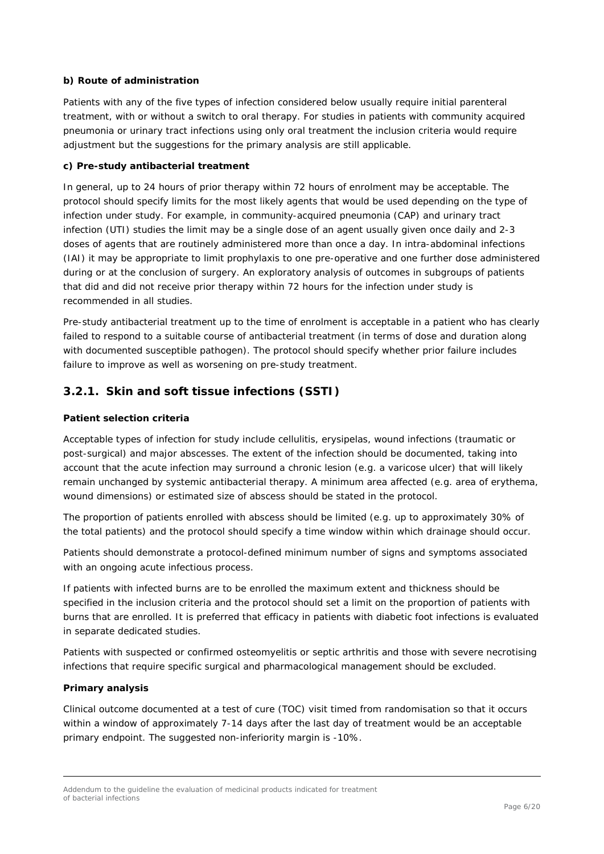#### *b) Route of administration*

Patients with any of the five types of infection considered below usually require initial parenteral treatment, with or without a switch to oral therapy. For studies in patients with community acquired pneumonia or urinary tract infections using only oral treatment the inclusion criteria would require adjustment but the suggestions for the primary analysis are still applicable.

#### *c) Pre-study antibacterial treatment*

In general, up to 24 hours of prior therapy within 72 hours of enrolment may be acceptable. The protocol should specify limits for the most likely agents that would be used depending on the type of infection under study. For example, in community-acquired pneumonia (CAP) and urinary tract infection (UTI) studies the limit may be a single dose of an agent usually given once daily and 2-3 doses of agents that are routinely administered more than once a day. In intra-abdominal infections (IAI) it may be appropriate to limit prophylaxis to one pre-operative and one further dose administered during or at the conclusion of surgery. An exploratory analysis of outcomes in subgroups of patients that did and did not receive prior therapy within 72 hours for the infection under study is recommended in all studies.

Pre-study antibacterial treatment up to the time of enrolment is acceptable in a patient who has clearly failed to respond to a suitable course of antibacterial treatment (in terms of dose and duration along with documented susceptible pathogen). The protocol should specify whether prior failure includes failure to improve as well as worsening on pre-study treatment.

### <span id="page-5-0"></span>**3.2.1. Skin and soft tissue infections (SSTI)**

#### *Patient selection criteria*

Acceptable types of infection for study include cellulitis, erysipelas, wound infections (traumatic or post-surgical) and major abscesses. The extent of the infection should be documented, taking into account that the acute infection may surround a chronic lesion (e.g. a varicose ulcer) that will likely remain unchanged by systemic antibacterial therapy. A minimum area affected (e.g. area of erythema, wound dimensions) or estimated size of abscess should be stated in the protocol.

The proportion of patients enrolled with abscess should be limited (e.g. up to approximately 30% of the total patients) and the protocol should specify a time window within which drainage should occur.

Patients should demonstrate a protocol-defined minimum number of signs and symptoms associated with an ongoing acute infectious process.

If patients with infected burns are to be enrolled the maximum extent and thickness should be specified in the inclusion criteria and the protocol should set a limit on the proportion of patients with burns that are enrolled. It is preferred that efficacy in patients with diabetic foot infections is evaluated in separate dedicated studies.

Patients with suspected or confirmed osteomyelitis or septic arthritis and those with severe necrotising infections that require specific surgical and pharmacological management should be excluded.

#### *Primary analysis*

Clinical outcome documented at a test of cure (TOC) visit timed from randomisation so that it occurs within a window of approximately 7-14 days after the last day of treatment would be an acceptable primary endpoint. The suggested non-inferiority margin is -10%.

Addendum to the guideline the evaluation of medicinal products indicated for treatment of bacterial infections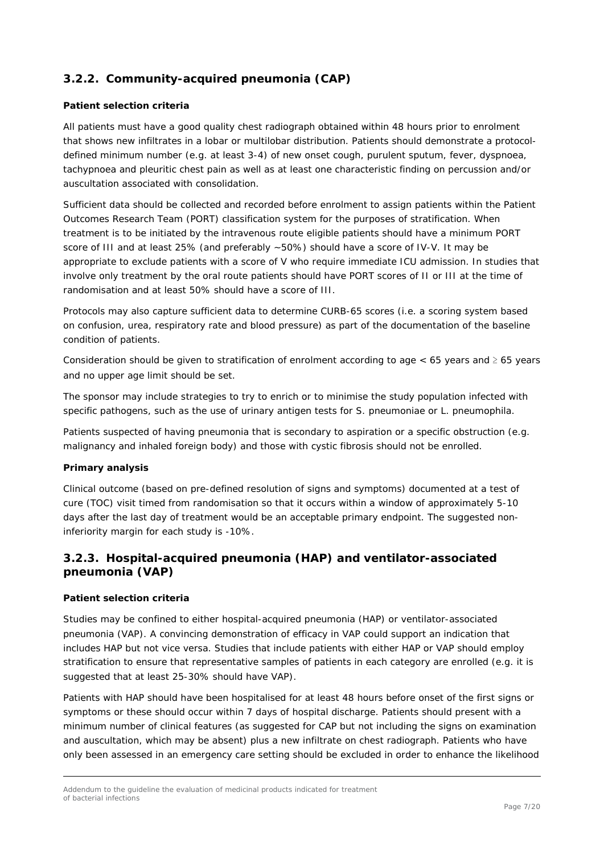### <span id="page-6-0"></span>**3.2.2. Community-acquired pneumonia (CAP)**

#### *Patient selection criteria*

All patients must have a good quality chest radiograph obtained within 48 hours prior to enrolment that shows new infiltrates in a lobar or multilobar distribution. Patients should demonstrate a protocoldefined minimum number (e.g. at least 3-4) of new onset cough, purulent sputum, fever, dyspnoea, tachypnoea and pleuritic chest pain as well as at least one characteristic finding on percussion and/or auscultation associated with consolidation.

Sufficient data should be collected and recorded before enrolment to assign patients within the Patient Outcomes Research Team (PORT) classification system for the purposes of stratification. When treatment is to be initiated by the intravenous route eligible patients should have a minimum PORT score of III and at least 25% (and preferably ~50%) should have a score of IV-V. It may be appropriate to exclude patients with a score of V who require immediate ICU admission. In studies that involve only treatment by the oral route patients should have PORT scores of II or III at the time of randomisation and at least 50% should have a score of III.

Protocols may also capture sufficient data to determine CURB-65 scores (i.e. a scoring system based on confusion, urea, respiratory rate and blood pressure) as part of the documentation of the baseline condition of patients.

Consideration should be given to stratification of enrolment according to age  $< 65$  years and  $\geq 65$  years and no upper age limit should be set.

The sponsor may include strategies to try to enrich or to minimise the study population infected with specific pathogens, such as the use of urinary antigen tests for *S. pneumoniae* or *L. pneumophila*.

Patients suspected of having pneumonia that is secondary to aspiration or a specific obstruction (e.g. malignancy and inhaled foreign body) and those with cystic fibrosis should not be enrolled.

#### *Primary analysis*

Clinical outcome (based on pre-defined resolution of signs and symptoms) documented at a test of cure (TOC) visit timed from randomisation so that it occurs within a window of approximately 5-10 days after the last day of treatment would be an acceptable primary endpoint. The suggested noninferiority margin for each study is -10%.

### <span id="page-6-1"></span>**3.2.3. Hospital-acquired pneumonia (HAP) and ventilator-associated pneumonia (VAP)**

#### *Patient selection criteria*

Studies may be confined to either hospital-acquired pneumonia (HAP) or ventilator-associated pneumonia (VAP). A convincing demonstration of efficacy in VAP could support an indication that includes HAP but not vice versa. Studies that include patients with either HAP or VAP should employ stratification to ensure that representative samples of patients in each category are enrolled (e.g. it is suggested that at least 25-30% should have VAP).

Patients with HAP should have been hospitalised for at least 48 hours before onset of the first signs or symptoms or these should occur within 7 days of hospital discharge. Patients should present with a minimum number of clinical features (as suggested for CAP but not including the signs on examination and auscultation, which may be absent) plus a new infiltrate on chest radiograph. Patients who have only been assessed in an emergency care setting should be excluded in order to enhance the likelihood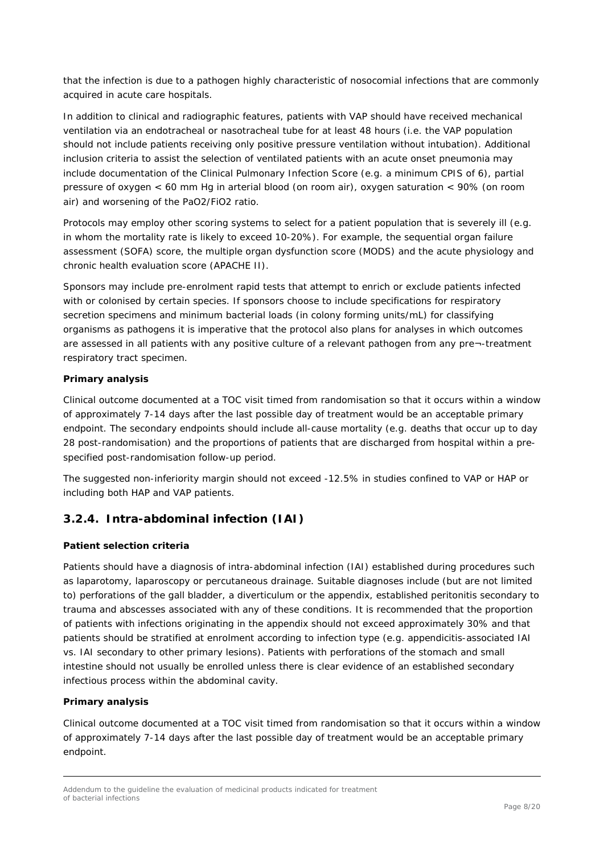that the infection is due to a pathogen highly characteristic of nosocomial infections that are commonly acquired in acute care hospitals.

In addition to clinical and radiographic features, patients with VAP should have received mechanical ventilation via an endotracheal or nasotracheal tube for at least 48 hours (i.e. the VAP population should not include patients receiving only positive pressure ventilation without intubation). Additional inclusion criteria to assist the selection of ventilated patients with an acute onset pneumonia may include documentation of the Clinical Pulmonary Infection Score (e.g. a minimum CPIS of 6), partial pressure of oxygen < 60 mm Hg in arterial blood (on room air), oxygen saturation < 90% (on room air) and worsening of the PaO2/FiO2 ratio.

Protocols may employ other scoring systems to select for a patient population that is severely ill (e.g. in whom the mortality rate is likely to exceed 10-20%). For example, the sequential organ failure assessment (SOFA) score, the multiple organ dysfunction score (MODS) and the acute physiology and chronic health evaluation score (APACHE II).

Sponsors may include pre-enrolment rapid tests that attempt to enrich or exclude patients infected with or colonised by certain species. If sponsors choose to include specifications for respiratory secretion specimens and minimum bacterial loads (in colony forming units/mL) for classifying organisms as pathogens it is imperative that the protocol also plans for analyses in which outcomes are assessed in all patients with any positive culture of a relevant pathogen from any pre¬-treatment respiratory tract specimen.

#### *Primary analysis*

Clinical outcome documented at a TOC visit timed from randomisation so that it occurs within a window of approximately 7-14 days after the last possible day of treatment would be an acceptable primary endpoint. The secondary endpoints should include all-cause mortality (e.g. deaths that occur up to day 28 post-randomisation) and the proportions of patients that are discharged from hospital within a prespecified post-randomisation follow-up period.

The suggested non-inferiority margin should not exceed -12.5% in studies confined to VAP or HAP or including both HAP and VAP patients.

### <span id="page-7-0"></span>**3.2.4. Intra-abdominal infection (IAI)**

#### *Patient selection criteria*

Patients should have a diagnosis of intra-abdominal infection (IAI) established during procedures such as laparotomy, laparoscopy or percutaneous drainage. Suitable diagnoses include (but are not limited to) perforations of the gall bladder, a diverticulum or the appendix, established peritonitis secondary to trauma and abscesses associated with any of these conditions. It is recommended that the proportion of patients with infections originating in the appendix should not exceed approximately 30% and that patients should be stratified at enrolment according to infection type (e.g. appendicitis-associated IAI vs. IAI secondary to other primary lesions). Patients with perforations of the stomach and small intestine should not usually be enrolled unless there is clear evidence of an established secondary infectious process within the abdominal cavity.

#### *Primary analysis*

Clinical outcome documented at a TOC visit timed from randomisation so that it occurs within a window of approximately 7-14 days after the last possible day of treatment would be an acceptable primary endpoint.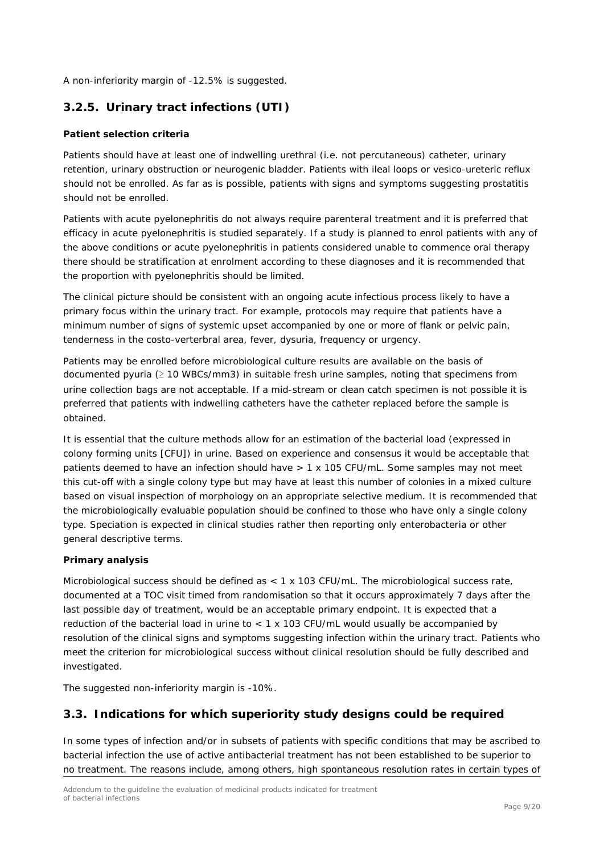A non-inferiority margin of -12.5% is suggested.

### <span id="page-8-0"></span>**3.2.5. Urinary tract infections (UTI)**

#### *Patient selection criteria*

Patients should have at least one of indwelling urethral (i.e. not percutaneous) catheter, urinary retention, urinary obstruction or neurogenic bladder. Patients with ileal loops or vesico-ureteric reflux should not be enrolled. As far as is possible, patients with signs and symptoms suggesting prostatitis should not be enrolled.

Patients with acute pyelonephritis do not always require parenteral treatment and it is preferred that efficacy in acute pyelonephritis is studied separately. If a study is planned to enrol patients with any of the above conditions or acute pyelonephritis in patients considered unable to commence oral therapy there should be stratification at enrolment according to these diagnoses and it is recommended that the proportion with pyelonephritis should be limited.

The clinical picture should be consistent with an ongoing acute infectious process likely to have a primary focus within the urinary tract. For example, protocols may require that patients have a minimum number of signs of systemic upset accompanied by one or more of flank or pelvic pain, tenderness in the costo-verterbral area, fever, dysuria, frequency or urgency.

Patients may be enrolled before microbiological culture results are available on the basis of documented pyuria (≥ 10 WBCs/mm3) in suitable fresh urine samples, noting that specimens from urine collection bags are not acceptable. If a mid-stream or clean catch specimen is not possible it is preferred that patients with indwelling catheters have the catheter replaced before the sample is obtained.

It is essential that the culture methods allow for an estimation of the bacterial load (expressed in colony forming units [CFU]) in urine. Based on experience and consensus it would be acceptable that patients deemed to have an infection should have > 1 x 105 CFU/mL. Some samples may not meet this cut-off with a single colony type but may have at least this number of colonies in a mixed culture based on visual inspection of morphology on an appropriate selective medium. It is recommended that the microbiologically evaluable population should be confined to those who have only a single colony type. Speciation is expected in clinical studies rather then reporting only enterobacteria or other general descriptive terms.

#### *Primary analysis*

Microbiological success should be defined as < 1 x 103 CFU/mL. The microbiological success rate, documented at a TOC visit timed from randomisation so that it occurs approximately 7 days after the last possible day of treatment, would be an acceptable primary endpoint. It is expected that a reduction of the bacterial load in urine to < 1 x 103 CFU/mL would usually be accompanied by resolution of the clinical signs and symptoms suggesting infection within the urinary tract. Patients who meet the criterion for microbiological success without clinical resolution should be fully described and investigated.

The suggested non-inferiority margin is -10%.

### <span id="page-8-1"></span>*3.3. Indications for which superiority study designs could be required*

In some types of infection and/or in subsets of patients with specific conditions that may be ascribed to bacterial infection the use of active antibacterial treatment has not been established to be superior to no treatment. The reasons include, among others, high spontaneous resolution rates in certain types of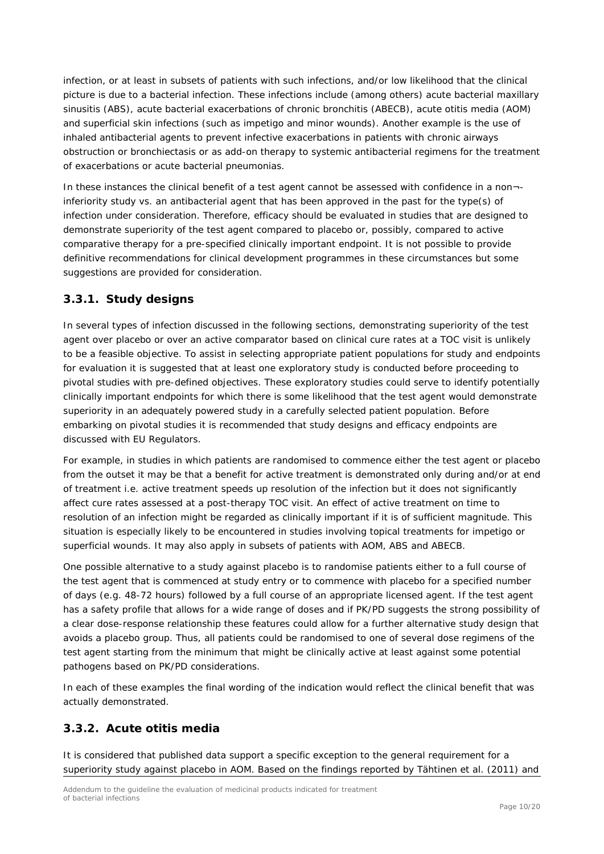infection, or at least in subsets of patients with such infections, and/or low likelihood that the clinical picture is due to a bacterial infection. These infections include (among others) acute bacterial maxillary sinusitis (ABS), acute bacterial exacerbations of chronic bronchitis (ABECB), acute otitis media (AOM) and superficial skin infections (such as impetigo and minor wounds). Another example is the use of inhaled antibacterial agents to prevent infective exacerbations in patients with chronic airways obstruction or bronchiectasis or as add-on therapy to systemic antibacterial regimens for the treatment of exacerbations or acute bacterial pneumonias.

In these instances the clinical benefit of a test agent cannot be assessed with confidence in a non¬ inferiority study vs. an antibacterial agent that has been approved in the past for the type(s) of infection under consideration. Therefore, efficacy should be evaluated in studies that are designed to demonstrate superiority of the test agent compared to placebo or, possibly, compared to active comparative therapy for a pre-specified clinically important endpoint. It is not possible to provide definitive recommendations for clinical development programmes in these circumstances but some suggestions are provided for consideration.

### <span id="page-9-0"></span>**3.3.1. Study designs**

In several types of infection discussed in the following sections, demonstrating superiority of the test agent over placebo or over an active comparator based on clinical cure rates at a TOC visit is unlikely to be a feasible objective. To assist in selecting appropriate patient populations for study and endpoints for evaluation it is suggested that at least one exploratory study is conducted before proceeding to pivotal studies with pre-defined objectives. These exploratory studies could serve to identify potentially clinically important endpoints for which there is some likelihood that the test agent would demonstrate superiority in an adequately powered study in a carefully selected patient population. Before embarking on pivotal studies it is recommended that study designs and efficacy endpoints are discussed with EU Regulators.

For example, in studies in which patients are randomised to commence either the test agent or placebo from the outset it may be that a benefit for active treatment is demonstrated only during and/or at end of treatment i.e. active treatment speeds up resolution of the infection but it does not significantly affect cure rates assessed at a post-therapy TOC visit. An effect of active treatment on time to resolution of an infection might be regarded as clinically important if it is of sufficient magnitude. This situation is especially likely to be encountered in studies involving topical treatments for impetigo or superficial wounds. It may also apply in subsets of patients with AOM, ABS and ABECB.

One possible alternative to a study against placebo is to randomise patients either to a full course of the test agent that is commenced at study entry or to commence with placebo for a specified number of days (e.g. 48-72 hours) followed by a full course of an appropriate licensed agent. If the test agent has a safety profile that allows for a wide range of doses and if PK/PD suggests the strong possibility of a clear dose-response relationship these features could allow for a further alternative study design that avoids a placebo group. Thus, all patients could be randomised to one of several dose regimens of the test agent starting from the minimum that might be clinically active at least against some potential pathogens based on PK/PD considerations.

In each of these examples the final wording of the indication would reflect the clinical benefit that was actually demonstrated.

### <span id="page-9-1"></span>**3.3.2. Acute otitis media**

It is considered that published data support a specific exception to the general requirement for a superiority study against placebo in AOM. Based on the findings reported by Tähtinen et al. (2011) and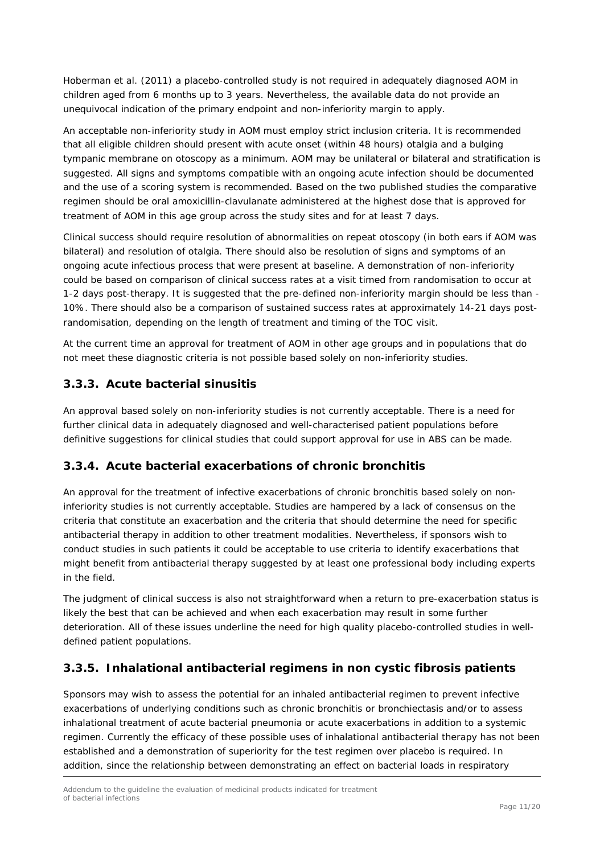Hoberman et al. (2011) a placebo-controlled study is not required in adequately diagnosed AOM in children aged from 6 months up to 3 years. Nevertheless, the available data do not provide an unequivocal indication of the primary endpoint and non-inferiority margin to apply.

An acceptable non-inferiority study in AOM must employ strict inclusion criteria. It is recommended that all eligible children should present with acute onset (within 48 hours) otalgia and a bulging tympanic membrane on otoscopy as a minimum. AOM may be unilateral or bilateral and stratification is suggested. All signs and symptoms compatible with an ongoing acute infection should be documented and the use of a scoring system is recommended. Based on the two published studies the comparative regimen should be oral amoxicillin-clavulanate administered at the highest dose that is approved for treatment of AOM in this age group across the study sites and for at least 7 days.

Clinical success should require resolution of abnormalities on repeat otoscopy (in both ears if AOM was bilateral) and resolution of otalgia. There should also be resolution of signs and symptoms of an ongoing acute infectious process that were present at baseline. A demonstration of non-inferiority could be based on comparison of clinical success rates at a visit timed from randomisation to occur at 1-2 days post-therapy. It is suggested that the pre-defined non-inferiority margin should be less than - 10%. There should also be a comparison of sustained success rates at approximately 14-21 days postrandomisation, depending on the length of treatment and timing of the TOC visit.

At the current time an approval for treatment of AOM in other age groups and in populations that do not meet these diagnostic criteria is not possible based solely on non-inferiority studies.

### <span id="page-10-0"></span>**3.3.3. Acute bacterial sinusitis**

An approval based solely on non-inferiority studies is not currently acceptable. There is a need for further clinical data in adequately diagnosed and well-characterised patient populations before definitive suggestions for clinical studies that could support approval for use in ABS can be made.

### <span id="page-10-1"></span>**3.3.4. Acute bacterial exacerbations of chronic bronchitis**

An approval for the treatment of infective exacerbations of chronic bronchitis based solely on noninferiority studies is not currently acceptable. Studies are hampered by a lack of consensus on the criteria that constitute an exacerbation and the criteria that should determine the need for specific antibacterial therapy in addition to other treatment modalities. Nevertheless, if sponsors wish to conduct studies in such patients it could be acceptable to use criteria to identify exacerbations that might benefit from antibacterial therapy suggested by at least one professional body including experts in the field.

The judgment of clinical success is also not straightforward when a return to pre-exacerbation status is likely the best that can be achieved and when each exacerbation may result in some further deterioration. All of these issues underline the need for high quality placebo-controlled studies in welldefined patient populations.

### <span id="page-10-2"></span>**3.3.5. Inhalational antibacterial regimens in non cystic fibrosis patients**

Sponsors may wish to assess the potential for an inhaled antibacterial regimen to prevent infective exacerbations of underlying conditions such as chronic bronchitis or bronchiectasis and/or to assess inhalational treatment of acute bacterial pneumonia or acute exacerbations in addition to a systemic regimen. Currently the efficacy of these possible uses of inhalational antibacterial therapy has not been established and a demonstration of superiority for the test regimen over placebo is required. In addition, since the relationship between demonstrating an effect on bacterial loads in respiratory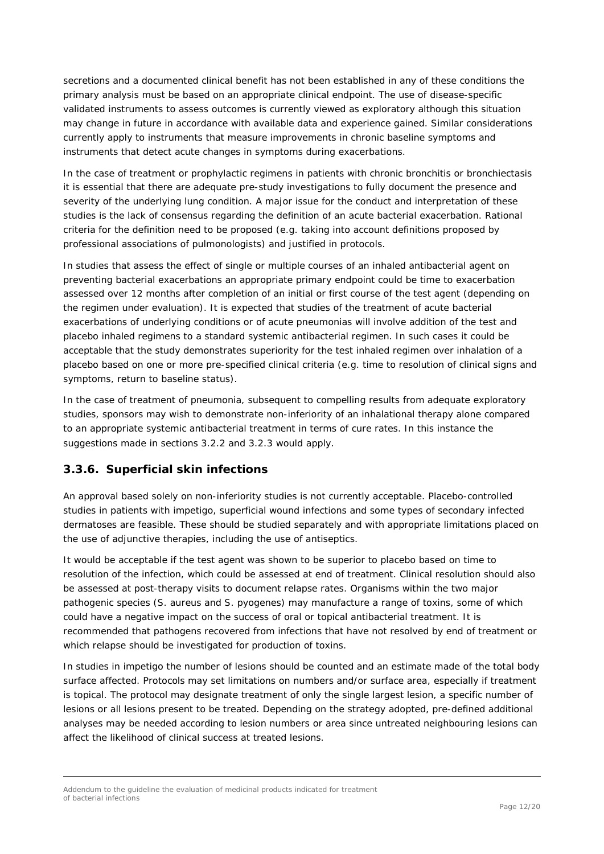secretions and a documented clinical benefit has not been established in any of these conditions the primary analysis must be based on an appropriate clinical endpoint. The use of disease-specific validated instruments to assess outcomes is currently viewed as exploratory although this situation may change in future in accordance with available data and experience gained. Similar considerations currently apply to instruments that measure improvements in chronic baseline symptoms and instruments that detect acute changes in symptoms during exacerbations.

In the case of treatment or prophylactic regimens in patients with chronic bronchitis or bronchiectasis it is essential that there are adequate pre-study investigations to fully document the presence and severity of the underlying lung condition. A major issue for the conduct and interpretation of these studies is the lack of consensus regarding the definition of an acute bacterial exacerbation. Rational criteria for the definition need to be proposed (e.g. taking into account definitions proposed by professional associations of pulmonologists) and justified in protocols.

In studies that assess the effect of single or multiple courses of an inhaled antibacterial agent on preventing bacterial exacerbations an appropriate primary endpoint could be time to exacerbation assessed over 12 months after completion of an initial or first course of the test agent (depending on the regimen under evaluation). It is expected that studies of the treatment of acute bacterial exacerbations of underlying conditions or of acute pneumonias will involve addition of the test and placebo inhaled regimens to a standard systemic antibacterial regimen. In such cases it could be acceptable that the study demonstrates superiority for the test inhaled regimen over inhalation of a placebo based on one or more pre-specified clinical criteria (e.g. time to resolution of clinical signs and symptoms, return to baseline status).

In the case of treatment of pneumonia, subsequent to compelling results from adequate exploratory studies, sponsors may wish to demonstrate non-inferiority of an inhalational therapy alone compared to an appropriate systemic antibacterial treatment in terms of cure rates. In this instance the suggestions made in sections 3.2.2 and 3.2.3 would apply.

### <span id="page-11-0"></span>**3.3.6. Superficial skin infections**

An approval based solely on non-inferiority studies is not currently acceptable. Placebo-controlled studies in patients with impetigo, superficial wound infections and some types of secondary infected dermatoses are feasible. These should be studied separately and with appropriate limitations placed on the use of adjunctive therapies, including the use of antiseptics.

It would be acceptable if the test agent was shown to be superior to placebo based on time to resolution of the infection, which could be assessed at end of treatment. Clinical resolution should also be assessed at post-therapy visits to document relapse rates. Organisms within the two major pathogenic species (*S. aureus* and *S. pyogenes*) may manufacture a range of toxins, some of which could have a negative impact on the success of oral or topical antibacterial treatment. It is recommended that pathogens recovered from infections that have not resolved by end of treatment or which relapse should be investigated for production of toxins.

In studies in impetigo the number of lesions should be counted and an estimate made of the total body surface affected. Protocols may set limitations on numbers and/or surface area, especially if treatment is topical. The protocol may designate treatment of only the single largest lesion, a specific number of lesions or all lesions present to be treated. Depending on the strategy adopted, pre-defined additional analyses may be needed according to lesion numbers or area since untreated neighbouring lesions can affect the likelihood of clinical success at treated lesions.

Addendum to the guideline the evaluation of medicinal products indicated for treatment of bacterial infections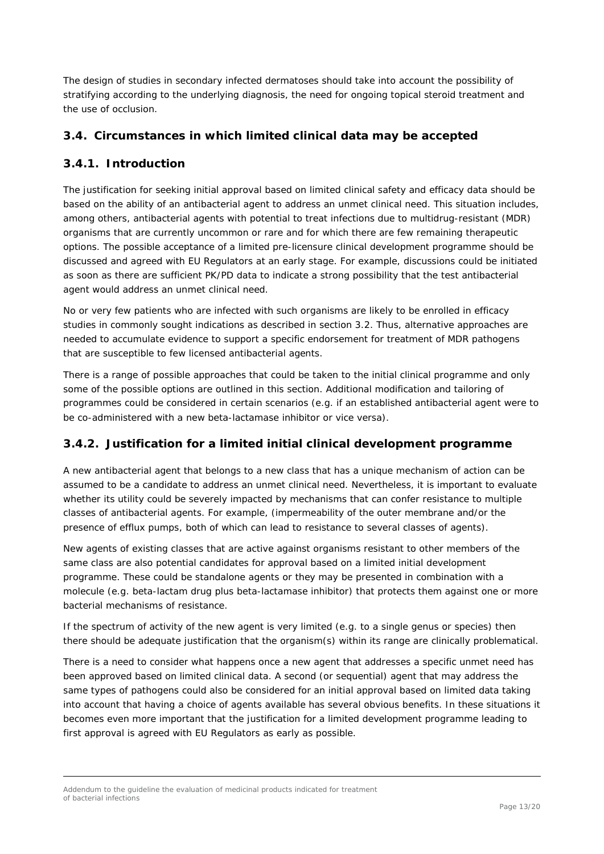The design of studies in secondary infected dermatoses should take into account the possibility of stratifying according to the underlying diagnosis, the need for ongoing topical steroid treatment and the use of occlusion.

### <span id="page-12-0"></span>*3.4. Circumstances in which limited clinical data may be accepted*

### <span id="page-12-1"></span>**3.4.1. Introduction**

The justification for seeking initial approval based on limited clinical safety and efficacy data should be based on the ability of an antibacterial agent to address an unmet clinical need. This situation includes, among others, antibacterial agents with potential to treat infections due to multidrug-resistant (MDR) organisms that are currently uncommon or rare and for which there are few remaining therapeutic options. The possible acceptance of a limited pre-licensure clinical development programme should be discussed and agreed with EU Regulators at an early stage. For example, discussions could be initiated as soon as there are sufficient PK/PD data to indicate a strong possibility that the test antibacterial agent would address an unmet clinical need.

No or very few patients who are infected with such organisms are likely to be enrolled in efficacy studies in commonly sought indications as described in section 3.2. Thus, alternative approaches are needed to accumulate evidence to support a specific endorsement for treatment of MDR pathogens that are susceptible to few licensed antibacterial agents.

There is a range of possible approaches that could be taken to the initial clinical programme and only some of the possible options are outlined in this section. Additional modification and tailoring of programmes could be considered in certain scenarios (e.g. if an established antibacterial agent were to be co-administered with a new beta-lactamase inhibitor or *vice versa*).

### <span id="page-12-2"></span>**3.4.2. Justification for a limited initial clinical development programme**

A new antibacterial agent that belongs to a new class that has a unique mechanism of action can be assumed to be a candidate to address an unmet clinical need. Nevertheless, it is important to evaluate whether its utility could be severely impacted by mechanisms that can confer resistance to multiple classes of antibacterial agents. For example, (impermeability of the outer membrane and/or the presence of efflux pumps, both of which can lead to resistance to several classes of agents).

New agents of existing classes that are active against organisms resistant to other members of the same class are also potential candidates for approval based on a limited initial development programme. These could be standalone agents or they may be presented in combination with a molecule (e.g. beta-lactam drug plus beta-lactamase inhibitor) that protects them against one or more bacterial mechanisms of resistance.

If the spectrum of activity of the new agent is very limited (e.g. to a single genus or species) then there should be adequate justification that the organism(s) within its range are clinically problematical.

There is a need to consider what happens once a new agent that addresses a specific unmet need has been approved based on limited clinical data. A second (or sequential) agent that may address the same types of pathogens could also be considered for an initial approval based on limited data taking into account that having a choice of agents available has several obvious benefits. In these situations it becomes even more important that the justification for a limited development programme leading to first approval is agreed with EU Regulators as early as possible.

Addendum to the guideline the evaluation of medicinal products indicated for treatment of bacterial infections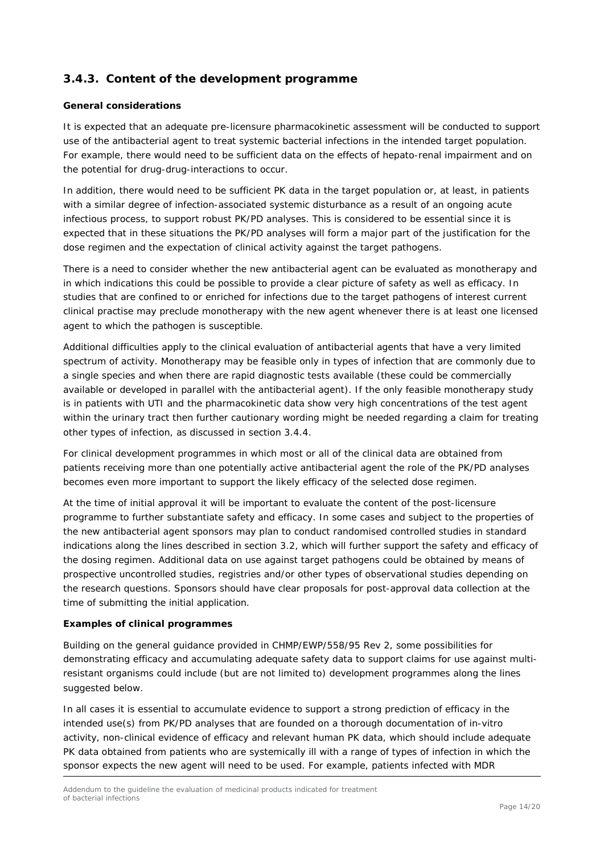### <span id="page-13-0"></span>**3.4.3. Content of the development programme**

#### *General considerations*

It is expected that an adequate pre-licensure pharmacokinetic assessment will be conducted to support use of the antibacterial agent to treat systemic bacterial infections in the intended target population. For example, there would need to be sufficient data on the effects of hepato-renal impairment and on the potential for drug-drug-interactions to occur.

In addition, there would need to be sufficient PK data in the target population or, at least, in patients with a similar degree of infection-associated systemic disturbance as a result of an ongoing acute infectious process, to support robust PK/PD analyses. This is considered to be essential since it is expected that in these situations the PK/PD analyses will form a major part of the justification for the dose regimen and the expectation of clinical activity against the target pathogens.

There is a need to consider whether the new antibacterial agent can be evaluated as monotherapy and in which indications this could be possible to provide a clear picture of safety as well as efficacy. In studies that are confined to or enriched for infections due to the target pathogens of interest current clinical practise may preclude monotherapy with the new agent whenever there is at least one licensed agent to which the pathogen is susceptible.

Additional difficulties apply to the clinical evaluation of antibacterial agents that have a very limited spectrum of activity. Monotherapy may be feasible only in types of infection that are commonly due to a single species and when there are rapid diagnostic tests available (these could be commercially available or developed in parallel with the antibacterial agent). If the only feasible monotherapy study is in patients with UTI and the pharmacokinetic data show very high concentrations of the test agent within the urinary tract then further cautionary wording might be needed regarding a claim for treating other types of infection, as discussed in section 3.4.4.

For clinical development programmes in which most or all of the clinical data are obtained from patients receiving more than one potentially active antibacterial agent the role of the PK/PD analyses becomes even more important to support the likely efficacy of the selected dose regimen.

At the time of initial approval it will be important to evaluate the content of the post-licensure programme to further substantiate safety and efficacy. In some cases and subject to the properties of the new antibacterial agent sponsors may plan to conduct randomised controlled studies in standard indications along the lines described in section 3.2, which will further support the safety and efficacy of the dosing regimen. Additional data on use against target pathogens could be obtained by means of prospective uncontrolled studies, registries and/or other types of observational studies depending on the research questions. Sponsors should have clear proposals for post-approval data collection at the time of submitting the initial application.

#### *Examples of clinical programmes*

Building on the general guidance provided in CHMP/EWP/558/95 Rev 2, some possibilities for demonstrating efficacy and accumulating adequate safety data to support claims for use against multiresistant organisms could include (but are not limited to) development programmes along the lines suggested below.

In all cases it is essential to accumulate evidence to support a strong prediction of efficacy in the intended use(s) from PK/PD analyses that are founded on a thorough documentation of in-vitro activity, non-clinical evidence of efficacy and relevant human PK data, which should include adequate PK data obtained from patients who are systemically ill with a range of types of infection in which the sponsor expects the new agent will need to be used. For example, patients infected with MDR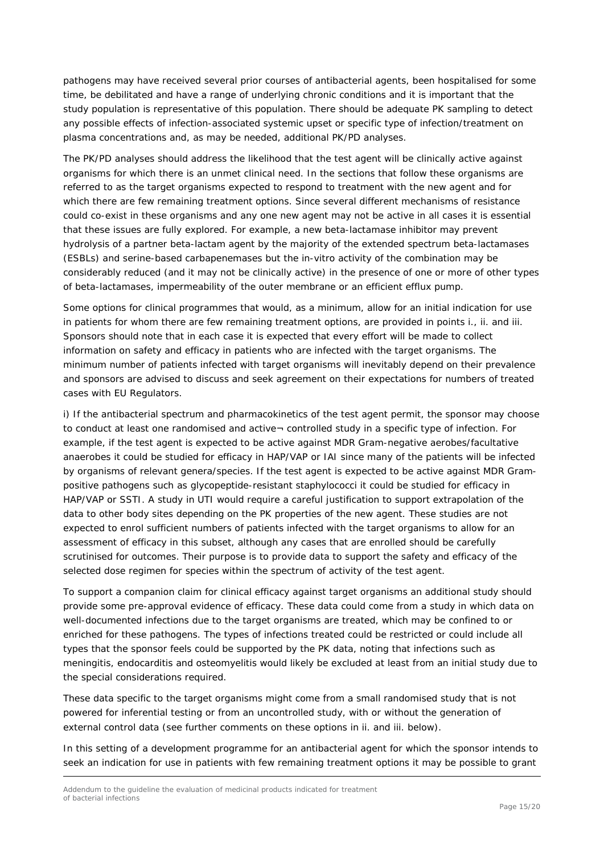pathogens may have received several prior courses of antibacterial agents, been hospitalised for some time, be debilitated and have a range of underlying chronic conditions and it is important that the study population is representative of this population. There should be adequate PK sampling to detect any possible effects of infection-associated systemic upset or specific type of infection/treatment on plasma concentrations and, as may be needed, additional PK/PD analyses.

The PK/PD analyses should address the likelihood that the test agent will be clinically active against organisms for which there is an unmet clinical need. In the sections that follow these organisms are referred to as the target organisms expected to respond to treatment with the new agent and for which there are few remaining treatment options. Since several different mechanisms of resistance could co-exist in these organisms and any one new agent may not be active in all cases it is essential that these issues are fully explored. For example, a new beta-lactamase inhibitor may prevent hydrolysis of a partner beta-lactam agent by the majority of the extended spectrum beta-lactamases (ESBLs) and serine-based carbapenemases but the in-vitro activity of the combination may be considerably reduced (and it may not be clinically active) in the presence of one or more of other types of beta-lactamases, impermeability of the outer membrane or an efficient efflux pump.

Some options for clinical programmes that would, as a minimum, allow for an initial indication for use in patients for whom there are few remaining treatment options, are provided in points i., ii. and iii. Sponsors should note that in each case it is expected that every effort will be made to collect information on safety and efficacy in patients who are infected with the target organisms. The minimum number of patients infected with target organisms will inevitably depend on their prevalence and sponsors are advised to discuss and seek agreement on their expectations for numbers of treated cases with EU Regulators.

i) If the antibacterial spectrum and pharmacokinetics of the test agent permit, the sponsor may choose to conduct at least one randomised and active-controlled study in a specific type of infection. For example, if the test agent is expected to be active against MDR Gram-negative aerobes/facultative anaerobes it could be studied for efficacy in HAP/VAP or IAI since many of the patients will be infected by organisms of relevant genera/species. If the test agent is expected to be active against MDR Grampositive pathogens such as glycopeptide-resistant staphylococci it could be studied for efficacy in HAP/VAP or SSTI. A study in UTI would require a careful justification to support extrapolation of the data to other body sites depending on the PK properties of the new agent. These studies are not expected to enrol sufficient numbers of patients infected with the target organisms to allow for an assessment of efficacy in this subset, although any cases that are enrolled should be carefully scrutinised for outcomes. Their purpose is to provide data to support the safety and efficacy of the selected dose regimen for species within the spectrum of activity of the test agent.

To support a companion claim for clinical efficacy against target organisms an additional study should provide some pre-approval evidence of efficacy. These data could come from a study in which data on well-documented infections due to the target organisms are treated, which may be confined to or enriched for these pathogens. The types of infections treated could be restricted or could include all types that the sponsor feels could be supported by the PK data, noting that infections such as meningitis, endocarditis and osteomyelitis would likely be excluded at least from an initial study due to the special considerations required.

These data specific to the target organisms might come from a small randomised study that is not powered for inferential testing or from an uncontrolled study, with or without the generation of external control data (see further comments on these options in ii. and iii. below).

In this setting of a development programme for an antibacterial agent for which the sponsor intends to seek an indication for use in patients with few remaining treatment options it may be possible to grant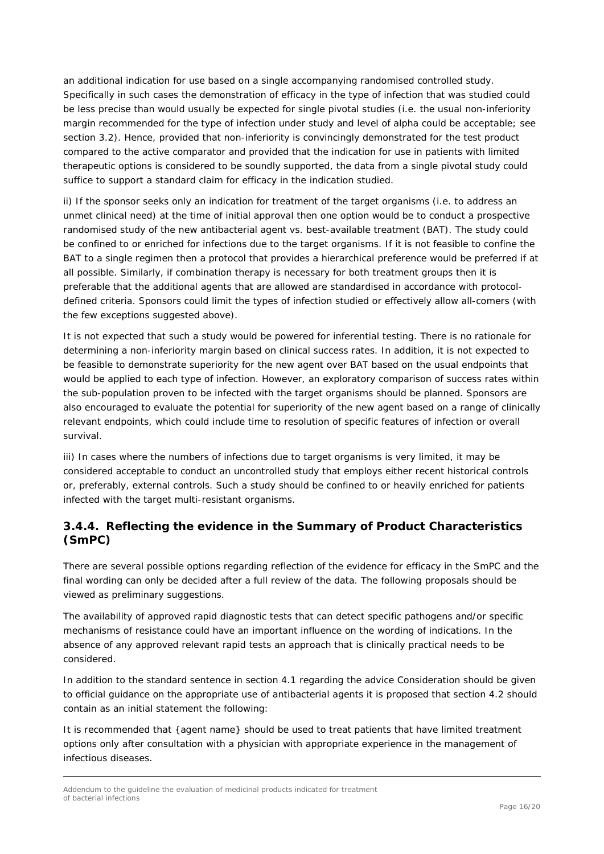an additional indication for use based on a single accompanying randomised controlled study. Specifically in such cases the demonstration of efficacy in the type of infection that was studied could be less precise than would usually be expected for single pivotal studies (i.e. the usual non-inferiority margin recommended for the type of infection under study and level of alpha could be acceptable; see section 3.2). Hence, provided that non-inferiority is convincingly demonstrated for the test product compared to the active comparator and provided that the indication for use in patients with limited therapeutic options is considered to be soundly supported, the data from a single pivotal study could suffice to support a standard claim for efficacy in the indication studied.

ii) If the sponsor seeks only an indication for treatment of the target organisms (i.e. to address an unmet clinical need) at the time of initial approval then one option would be to conduct a prospective randomised study of the new antibacterial agent vs. best-available treatment (BAT). The study could be confined to or enriched for infections due to the target organisms. If it is not feasible to confine the BAT to a single regimen then a protocol that provides a hierarchical preference would be preferred if at all possible. Similarly, if combination therapy is necessary for both treatment groups then it is preferable that the additional agents that are allowed are standardised in accordance with protocoldefined criteria. Sponsors could limit the types of infection studied or effectively allow all-comers (with the few exceptions suggested above).

It is not expected that such a study would be powered for inferential testing. There is no rationale for determining a non-inferiority margin based on clinical success rates. In addition, it is not expected to be feasible to demonstrate superiority for the new agent over BAT based on the usual endpoints that would be applied to each type of infection. However, an exploratory comparison of success rates within the sub-population proven to be infected with the target organisms should be planned. Sponsors are also encouraged to evaluate the potential for superiority of the new agent based on a range of clinically relevant endpoints, which could include time to resolution of specific features of infection or overall survival.

iii) In cases where the numbers of infections due to target organisms is very limited, it may be considered acceptable to conduct an uncontrolled study that employs either recent historical controls or, preferably, external controls. Such a study should be confined to or heavily enriched for patients infected with the target multi-resistant organisms.

### <span id="page-15-0"></span>**3.4.4. Reflecting the evidence in the Summary of Product Characteristics (SmPC)**

There are several possible options regarding reflection of the evidence for efficacy in the SmPC and the final wording can only be decided after a full review of the data. The following proposals should be viewed as preliminary suggestions.

The availability of approved rapid diagnostic tests that can detect specific pathogens and/or specific mechanisms of resistance could have an important influence on the wording of indications. In the absence of any approved relevant rapid tests an approach that is clinically practical needs to be considered.

In addition to the standard sentence in section 4.1 regarding the advice *Consideration should be given to official guidance on the appropriate use of antibacterial agents* it is proposed that section 4.2 should contain as an initial statement the following:

It is recommended that {agent name} should be used to treat patients that have limited treatment options only after consultation with a physician with appropriate experience in the management of infectious diseases.

Addendum to the guideline the evaluation of medicinal products indicated for treatment of bacterial infections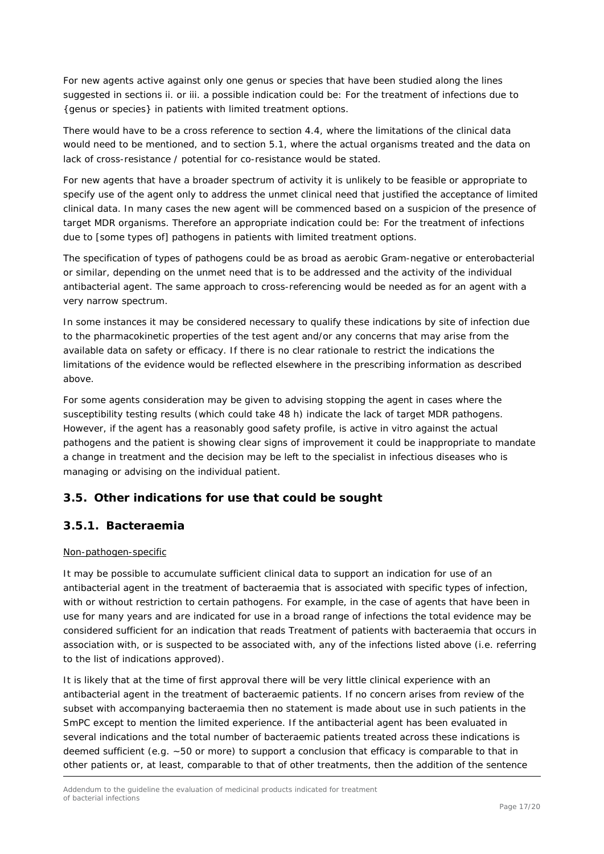For new agents active against only one genus or species that have been studied along the lines suggested in sections ii. or iii. a possible indication could be: *For the treatment of infections due to {genus or species} in patients with limited treatment options.* 

There would have to be a cross reference to section 4.4, where the limitations of the clinical data would need to be mentioned, and to section 5.1, where the actual organisms treated and the data on lack of cross-resistance / potential for co-resistance would be stated.

For new agents that have a broader spectrum of activity it is unlikely to be feasible or appropriate to specify use of the agent only to address the unmet clinical need that justified the acceptance of limited clinical data. In many cases the new agent will be commenced based on a suspicion of the presence of target MDR organisms. Therefore an appropriate indication could be: *For the treatment of infections due to [some types of] pathogens in patients with limited treatment options.*

The specification of types of pathogens could be as broad as aerobic Gram-negative or enterobacterial or similar, depending on the unmet need that is to be addressed and the activity of the individual antibacterial agent. The same approach to cross-referencing would be needed as for an agent with a very narrow spectrum.

In some instances it may be considered necessary to qualify these indications by site of infection due to the pharmacokinetic properties of the test agent and/or any concerns that may arise from the available data on safety or efficacy. If there is no clear rationale to restrict the indications the limitations of the evidence would be reflected elsewhere in the prescribing information as described above.

For some agents consideration may be given to advising stopping the agent in cases where the susceptibility testing results (which could take 48 h) indicate the lack of target MDR pathogens. However, if the agent has a reasonably good safety profile, is active in vitro against the actual pathogens and the patient is showing clear signs of improvement it could be inappropriate to mandate a change in treatment and the decision may be left to the specialist in infectious diseases who is managing or advising on the individual patient.

### <span id="page-16-0"></span>*3.5. Other indications for use that could be sought*

#### <span id="page-16-1"></span>**3.5.1. Bacteraemia**

#### Non-pathogen-specific

It may be possible to accumulate sufficient clinical data to support an indication for use of an antibacterial agent in the treatment of bacteraemia that is associated with specific types of infection, with or without restriction to certain pathogens. For example, in the case of agents that have been in use for many years and are indicated for use in a broad range of infections the total evidence may be considered sufficient for an indication that reads *Treatment of patients with bacteraemia that occurs in association with, or is suspected to be associated with, any of the infections listed above* (i.e. referring to the list of indications approved).

It is likely that at the time of first approval there will be very little clinical experience with an antibacterial agent in the treatment of bacteraemic patients. If no concern arises from review of the subset with accompanying bacteraemia then no statement is made about use in such patients in the SmPC except to mention the limited experience. If the antibacterial agent has been evaluated in several indications and the total number of bacteraemic patients treated across these indications is deemed sufficient (e.g. ~50 or more) to support a conclusion that efficacy is comparable to that in other patients or, at least, comparable to that of other treatments, then the addition of the sentence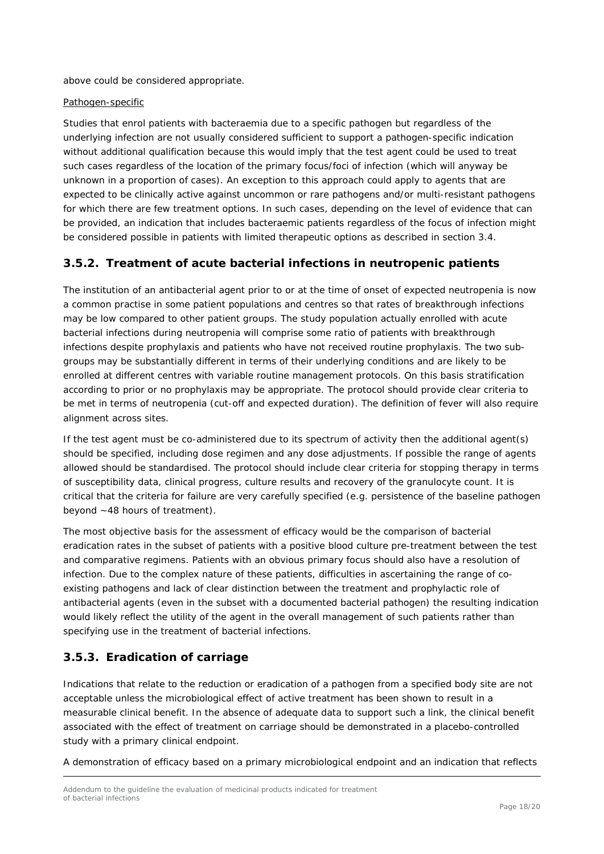above could be considered appropriate.

#### Pathogen-specific

Studies that enrol patients with bacteraemia due to a specific pathogen but regardless of the underlying infection are not usually considered sufficient to support a pathogen-specific indication without additional qualification because this would imply that the test agent could be used to treat such cases regardless of the location of the primary focus/foci of infection (which will anyway be unknown in a proportion of cases). An exception to this approach could apply to agents that are expected to be clinically active against uncommon or rare pathogens and/or multi-resistant pathogens for which there are few treatment options. In such cases, depending on the level of evidence that can be provided, an indication that includes bacteraemic patients regardless of the focus of infection might be considered possible in patients with limited therapeutic options as described in section 3.4.

### <span id="page-17-0"></span>**3.5.2. Treatment of acute bacterial infections in neutropenic patients**

The institution of an antibacterial agent prior to or at the time of onset of expected neutropenia is now a common practise in some patient populations and centres so that rates of breakthrough infections may be low compared to other patient groups. The study population actually enrolled with acute bacterial infections during neutropenia will comprise some ratio of patients with breakthrough infections despite prophylaxis and patients who have not received routine prophylaxis. The two subgroups may be substantially different in terms of their underlying conditions and are likely to be enrolled at different centres with variable routine management protocols. On this basis stratification according to prior or no prophylaxis may be appropriate. The protocol should provide clear criteria to be met in terms of neutropenia (cut-off and expected duration). The definition of fever will also require alignment across sites.

If the test agent must be co-administered due to its spectrum of activity then the additional agent(s) should be specified, including dose regimen and any dose adjustments. If possible the range of agents allowed should be standardised. The protocol should include clear criteria for stopping therapy in terms of susceptibility data, clinical progress, culture results and recovery of the granulocyte count. It is critical that the criteria for failure are very carefully specified (e.g. persistence of the baseline pathogen beyond ~48 hours of treatment).

The most objective basis for the assessment of efficacy would be the comparison of bacterial eradication rates in the subset of patients with a positive blood culture pre-treatment between the test and comparative regimens. Patients with an obvious primary focus should also have a resolution of infection. Due to the complex nature of these patients, difficulties in ascertaining the range of coexisting pathogens and lack of clear distinction between the treatment and prophylactic role of antibacterial agents (even in the subset with a documented bacterial pathogen) the resulting indication would likely reflect the utility of the agent in the overall management of such patients rather than specifying use in the treatment of bacterial infections.

### <span id="page-17-1"></span>**3.5.3. Eradication of carriage**

Indications that relate to the reduction or eradication of a pathogen from a specified body site are not acceptable unless the microbiological effect of active treatment has been shown to result in a measurable clinical benefit. In the absence of adequate data to support such a link, the clinical benefit associated with the effect of treatment on carriage should be demonstrated in a placebo-controlled study with a primary clinical endpoint.

A demonstration of efficacy based on a primary microbiological endpoint and an indication that reflects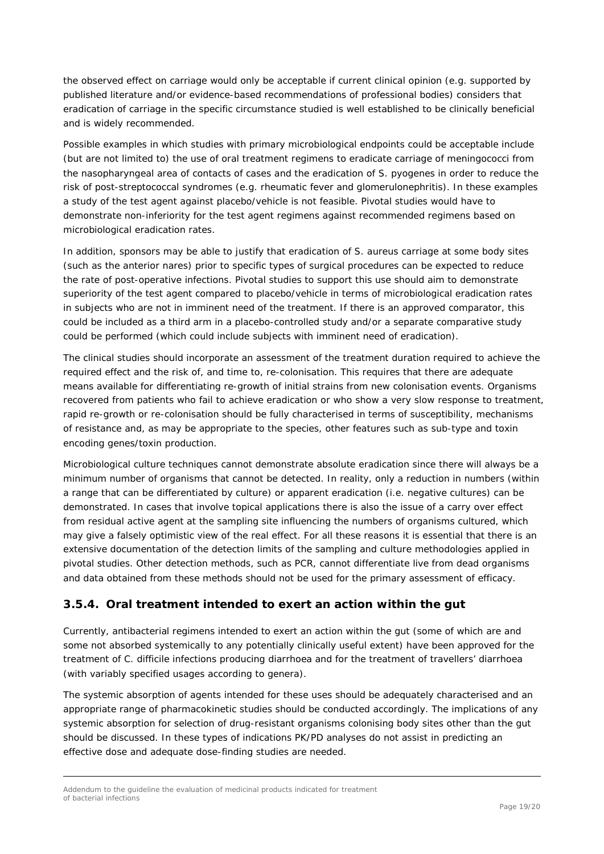the observed effect on carriage would only be acceptable if current clinical opinion (e.g. supported by published literature and/or evidence-based recommendations of professional bodies) considers that eradication of carriage in the specific circumstance studied is well established to be clinically beneficial and is widely recommended.

Possible examples in which studies with primary microbiological endpoints could be acceptable include (but are not limited to) the use of oral treatment regimens to eradicate carriage of meningococci from the nasopharyngeal area of contacts of cases and the eradication of *S. pyogenes* in order to reduce the risk of post-streptococcal syndromes (e.g. rheumatic fever and glomerulonephritis). In these examples a study of the test agent against placebo/vehicle is not feasible. Pivotal studies would have to demonstrate non-inferiority for the test agent regimens against recommended regimens based on microbiological eradication rates.

In addition, sponsors may be able to justify that eradication of *S. aureus* carriage at some body sites (such as the anterior nares) prior to specific types of surgical procedures can be expected to reduce the rate of post-operative infections. Pivotal studies to support this use should aim to demonstrate superiority of the test agent compared to placebo/vehicle in terms of microbiological eradication rates in subjects who are not in imminent need of the treatment. If there is an approved comparator, this could be included as a third arm in a placebo-controlled study and/or a separate comparative study could be performed (which could include subjects with imminent need of eradication).

The clinical studies should incorporate an assessment of the treatment duration required to achieve the required effect and the risk of, and time to, re-colonisation. This requires that there are adequate means available for differentiating re-growth of initial strains from new colonisation events. Organisms recovered from patients who fail to achieve eradication or who show a very slow response to treatment, rapid re-growth or re-colonisation should be fully characterised in terms of susceptibility, mechanisms of resistance and, as may be appropriate to the species, other features such as sub-type and toxin encoding genes/toxin production.

Microbiological culture techniques cannot demonstrate absolute eradication since there will always be a minimum number of organisms that cannot be detected. In reality, only a *reduction in numbers* (within a range that can be differentiated by culture) or *apparent eradication* (i.e. negative cultures) can be demonstrated. In cases that involve topical applications there is also the issue of a carry over effect from residual active agent at the sampling site influencing the numbers of organisms cultured, which may give a falsely optimistic view of the real effect. For all these reasons it is essential that there is an extensive documentation of the detection limits of the sampling and culture methodologies applied in pivotal studies. Other detection methods, such as PCR, cannot differentiate live from dead organisms and data obtained from these methods should not be used for the primary assessment of efficacy.

### <span id="page-18-0"></span>**3.5.4. Oral treatment intended to exert an action within the gut**

Currently, antibacterial regimens intended to exert an action within the gut (some of which are and some not absorbed systemically to any potentially clinically useful extent) have been approved for the treatment of *C. difficile* infections producing diarrhoea and for the treatment of travellers' diarrhoea (with variably specified usages according to genera).

The systemic absorption of agents intended for these uses should be adequately characterised and an appropriate range of pharmacokinetic studies should be conducted accordingly. The implications of any systemic absorption for selection of drug-resistant organisms colonising body sites other than the gut should be discussed. In these types of indications PK/PD analyses do not assist in predicting an effective dose and adequate dose-finding studies are needed.

Addendum to the guideline the evaluation of medicinal products indicated for treatment of bacterial infections